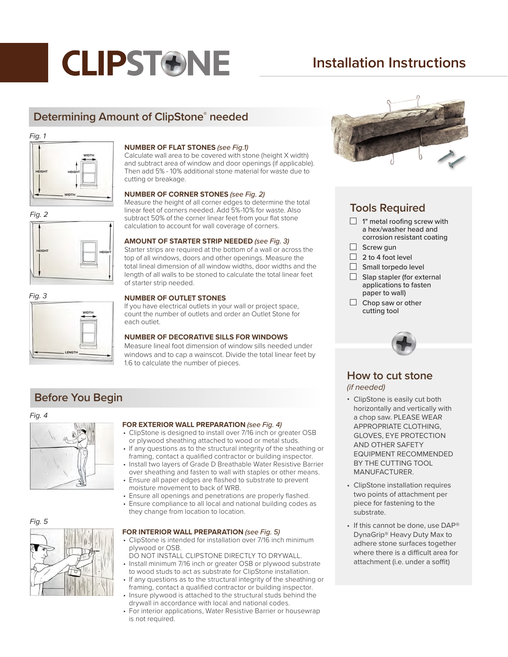# **CLIPSTONE**

# **Installation Instructions**

# **Determining Amount of ClipStone® needed**

### *Fig. 1*



# *Fig. 2*







# **NUMBER OF FLAT STONES** *(see Fig.1)*

Calculate wall area to be covered with stone (height X width) and subtract area of window and door openings (if applicable). Then add 5% - 10% additional stone material for waste due to cutting or breakage.

### **NUMBER OF CORNER STONES** *(see Fig. 2)*

Measure the height of all corner edges to determine the total linear feet of corners needed. Add 5%-10% for waste. Also subtract 50% of the corner linear feet from your flat stone calculation to account for wall coverage of corners.

## **AMOUNT OF STARTER STRIP NEEDED** *(see Fig. 3)*

Starter strips are required at the bottom of a wall or across the top of all windows, doors and other openings. Measure the total lineal dimension of all window widths, door widths and the length of all walls to be stoned to calculate the total linear feet of starter strip needed.

# **NUMBER OF OUTLET STONES**

If you have electrical outlets in your wall or project space, count the number of outlets and order an Outlet Stone for each outlet.

# **NUMBER OF DECORATIVE SILLS FOR WINDOWS**

Measure lineal foot dimension of window sills needed under windows and to cap a wainscot. Divide the total linear feet by 1.6 to calculate the number of pieces.

# **Before You Begin**

#### *Fig. 4*



# **FOR EXTERIOR WALL PREPARATION** *(see Fig. 4)*

- ClipStone is designed to install over 7/16 inch or greater OSB or plywood sheathing attached to wood or metal studs.
- If any questions as to the structural integrity of the sheathing or framing, contact a qualified contractor or building inspector.
- Install two layers of Grade D Breathable Water Resistive Barrier over sheathing and fasten to wall with staples or other means. • Ensure all paper edges are flashed to substrate to prevent
- moisture movement to back of WRB.
- Ensure all openings and penetrations are properly flashed. • Ensure compliance to all local and national building codes as
- they change from location to location.

# *Fig. 5*

### **FOR INTERIOR WALL PREPARATION** *(see Fig. 5)*

- ClipStone is intended for installation over 7/16 inch minimum plywood or OSB.
- DO NOT INSTALL CLIPSTONE DIRECTLY TO DRYWALL. • Install minimum 7/16 inch or greater OSB or plywood substrate
- to wood studs to act as substrate for ClipStone installation. If any questions as to the structural integrity of the sheathing or
- framing, contact a qualified contractor or building inspector. Insure plywood is attached to the structural studs behind the drywall in accordance with local and national codes.
- For interior applications, Water Resistive Barrier or housewrap is not required.



# **Tools Required**

- $\Box$  1" metal roofing screw with a hex/washer head and corrosion resistant coating
- $\Box$  Screw gun
- $\Box$  2 to 4 foot level
- $\Box$  Small torpedo level
- $\Box$  Slap stapler (for external applications to fasten paper to wall)
- $\Box$  Chop saw or other cutting tool



# **How to cut stone**

*(if needed)*

- ClipStone is easily cut both horizontally and vertically with a chop saw. PLEASE WEAR APPROPRIATE CLOTHING, GLOVES, EYE PROTECTION AND OTHER SAFETY EQUIPMENT RECOMMENDED BY THE CUTTING TOOL MANUFACTURER.
- ClipStone installation requires two points of attachment per piece for fastening to the substrate.
- If this cannot be done, use DAP® DynaGrip® Heavy Duty Max to adhere stone surfaces together where there is a difficult area for attachment (i.e. under a soffit)